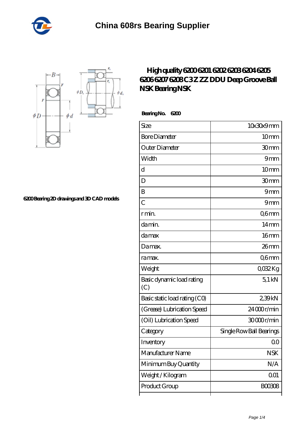



**[6200 Bearing 2D drawings and 3D CAD models](https://m.gbaguidipelagie.com/pic-675566.html)**

## **[High quality 6200 6201 6202 6203 6204 6205](https://m.gbaguidipelagie.com/6204ddu-bearing/675566.html) [6206 6207 6208 C3 Z ZZ DDU Deep Groove Ball](https://m.gbaguidipelagie.com/6204ddu-bearing/675566.html) [NSK Bearing NSK](https://m.gbaguidipelagie.com/6204ddu-bearing/675566.html)**

 **Bearing No. 6200**

| Size                             | 10x30x9mm                |
|----------------------------------|--------------------------|
| <b>Bore Diameter</b>             | 10mm                     |
| Outer Diameter                   | 30mm                     |
| Width                            | 9mm                      |
| d                                | 10mm                     |
| D                                | 30mm                     |
| B                                | 9mm                      |
| $\overline{C}$                   | 9mm                      |
| r min.                           | Q6mm                     |
| da min.                          | $14 \text{mm}$           |
| damax                            | 16 <sub>mm</sub>         |
| Damax.                           | 26 <sub>mm</sub>         |
| ra max.                          | Q6mm                     |
| Weight                           | QO32Kg                   |
| Basic dynamic load rating<br>(C) | 51kN                     |
| Basic static load rating (CO)    | 239kN                    |
| (Grease) Lubrication Speed       | 24000r/min               |
| (Oil) Lubrication Speed          | 30000r/min               |
| Category                         | Single Row Ball Bearings |
| Inventory                        | Q0                       |
| Manufacturer Name                | <b>NSK</b>               |
| Minimum Buy Quantity             | N/A                      |
| Weight/Kilogram                  | 001                      |
| Product Group                    | <b>BOO3O8</b>            |
|                                  |                          |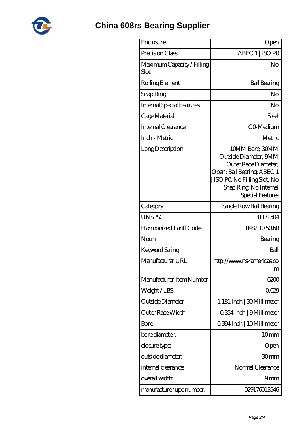

## **[China 608rs Bearing Supplier](https://m.gbaguidipelagie.com)**

| Enclosure                          | Open                                                                                                                                                                        |
|------------------------------------|-----------------------------------------------------------------------------------------------------------------------------------------------------------------------------|
| Precision Class                    | ABEC 1   ISO PO                                                                                                                                                             |
| Maximum Capacity / Filling<br>Slot | No                                                                                                                                                                          |
| Rolling Element                    | <b>Ball Bearing</b>                                                                                                                                                         |
| Snap Ring                          | No                                                                                                                                                                          |
| <b>Internal Special Features</b>   | No                                                                                                                                                                          |
| Cage Material                      | Steel                                                                                                                                                                       |
| Internal Clearance                 | CO-Medium                                                                                                                                                                   |
| Inch - Metric                      | Metric                                                                                                                                                                      |
| Long Description                   | 10MM Bore; 30MM<br>Outside Diameter; 9MM<br>Outer Race Diameter;<br>Open; Ball Bearing; ABEC 1<br>ISO PO, No Filling Slot; No<br>Snap Ring, No Internal<br>Special Features |
| Category                           | Single Row Ball Bearing                                                                                                                                                     |
| <b>UNSPSC</b>                      | 31171504                                                                                                                                                                    |
| Harmonized Tariff Code             | 8482105068                                                                                                                                                                  |
| Noun                               | Bearing                                                                                                                                                                     |
| <b>Keyword String</b>              | Ball                                                                                                                                                                        |
| Manufacturer URL                   | http://www.nskamericas.co<br>m                                                                                                                                              |
| Manufacturer Item Number           | 6200                                                                                                                                                                        |
| Weight/LBS                         | 0029                                                                                                                                                                        |
| Outside Diameter                   | 1.181 Inch   30 Millimeter                                                                                                                                                  |
| Outer Race Width                   | 0.354 Inch   9 Millimeter                                                                                                                                                   |
| Bore                               | 0.394 Inch   10 Millimeter                                                                                                                                                  |
| bore diameter:                     | 10 <sub>mm</sub>                                                                                                                                                            |
| closure type:                      | Open                                                                                                                                                                        |
| outside diameter:                  | 30mm                                                                                                                                                                        |
| internal clearance:                | Normal Clearance                                                                                                                                                            |
| overall width:                     | 9mm                                                                                                                                                                         |
| manufacturer upc number:           | 029176013546                                                                                                                                                                |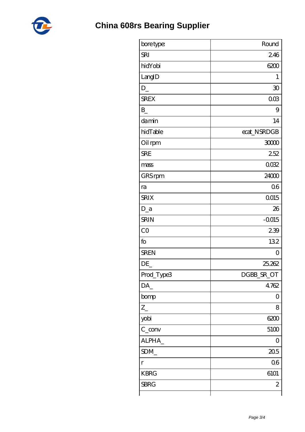

| bore type:        | Round        |
|-------------------|--------------|
| <b>SRI</b>        | 246          |
| hidYobi           | 6200         |
| LangID            | 1            |
| $D_{-}$           | 30           |
| <b>SREX</b>       | 003          |
| $\mathbf{B}$      | 9            |
| damin             | 14           |
| hidTable          | ecat_NSRDGB  |
| Oil rpm           | 30000        |
| <b>SRE</b>        | 252          |
| mass              | 0032         |
| GRS rpm           | 24000        |
| ra                | 06           |
| <b>SRIX</b>       | <b>QO15</b>  |
| $D_a$             | 26           |
| <b>SRIN</b>       | $-0.015$     |
| CO                | 239          |
| fo                | 132          |
| <b>SREN</b>       | 0            |
| DE                | 25,262       |
| Prod_Type3        | DGBB_SR_OT   |
| DA                | 4762         |
| bomp              | 0            |
| $Z_{-}$           | 8            |
| yobi              | 6200         |
| $C_{\text{conv}}$ | 5100         |
| ALPHA_            | 0            |
| SDM_              | 205          |
| $\mathbf{r}$      | 06           |
| <b>KBRG</b>       | 6101         |
| <b>SBRG</b>       | $\mathbf{z}$ |
|                   |              |